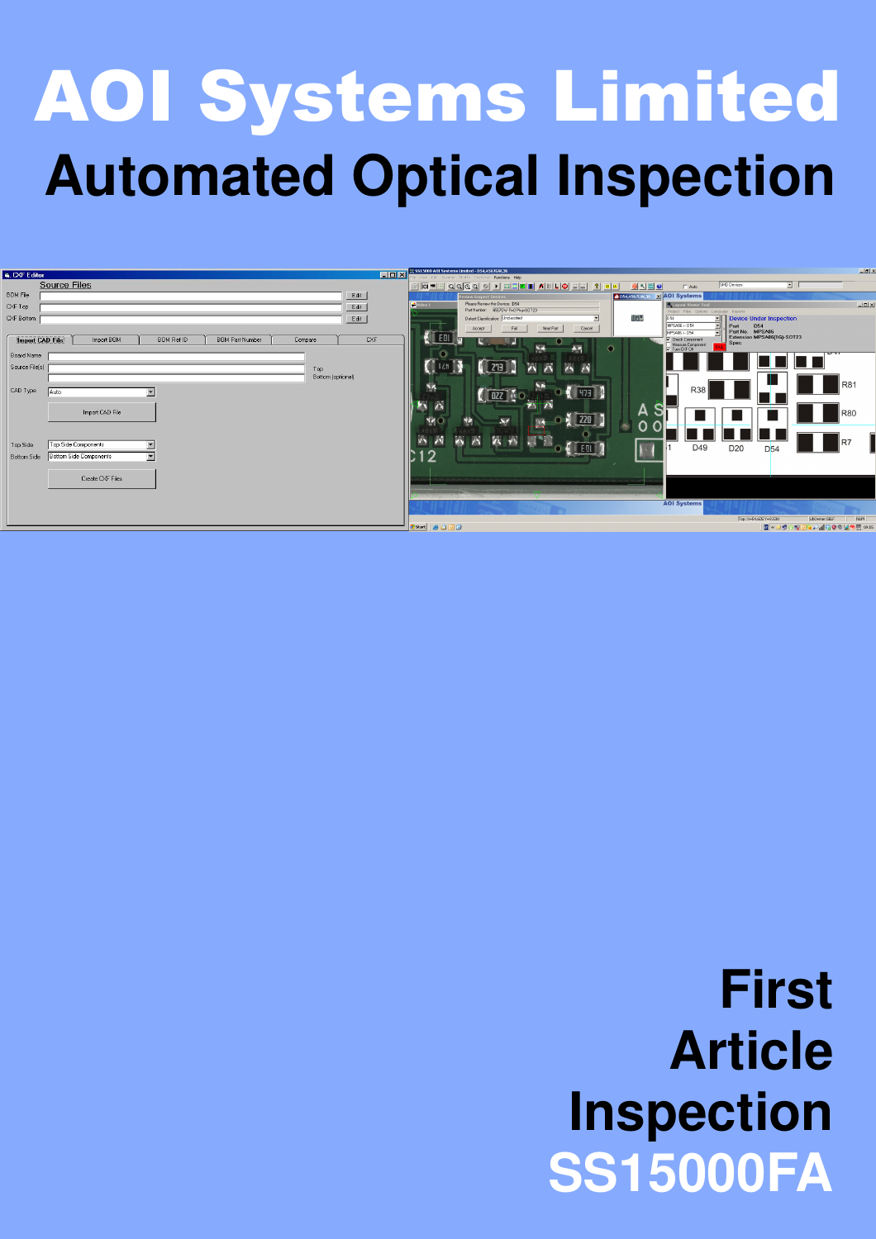# AOI Systems Limited **Automated Optical Inspection**



# **First Article Inspection SS15000FA**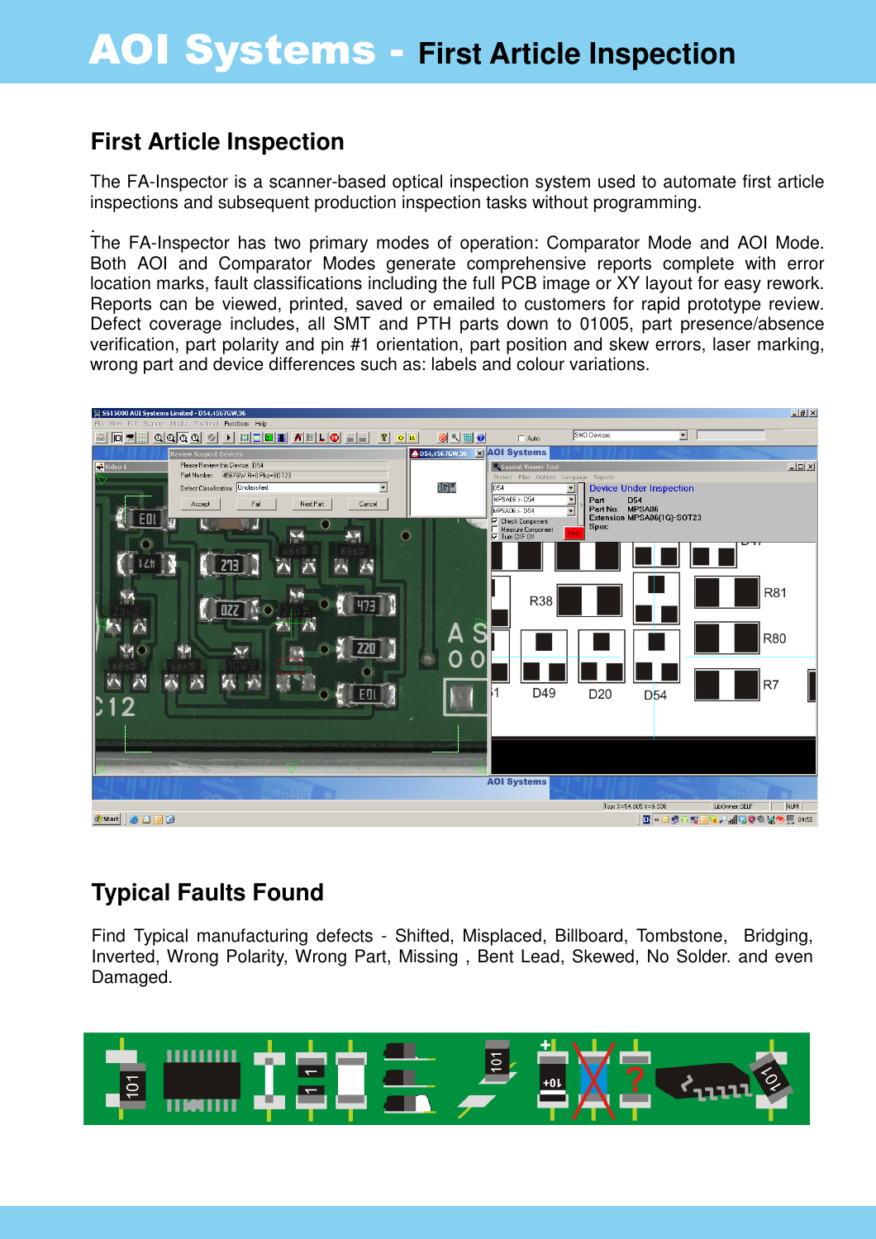#### **First Article Inspection**

The FA-Inspector is a scanner-based optical inspection system used to automate first article inspections and subsequent production inspection tasks without programming.

. The FA-Inspector has two primary modes of operation: Comparator Mode and AOI Mode. Both AOI and Comparator Modes generate comprehensive reports complete with error location marks, fault classifications including the full PCB image or XY layout for easy rework. Reports can be viewed, printed, saved or emailed to customers for rapid prototype review. Defect coverage includes, all SMT and PTH parts down to 01005, part presence/absence verification, part polarity and pin #1 orientation, part position and skew errors, laser marking, wrong part and device differences such as: labels and colour variations.



## **Typical Faults Found**

Find Typical manufacturing defects - Shifted, Misplaced, Billboard, Tombstone, Bridging, Inverted, Wrong Polarity, Wrong Part, Missing , Bent Lead, Skewed, No Solder. and even Damaged.

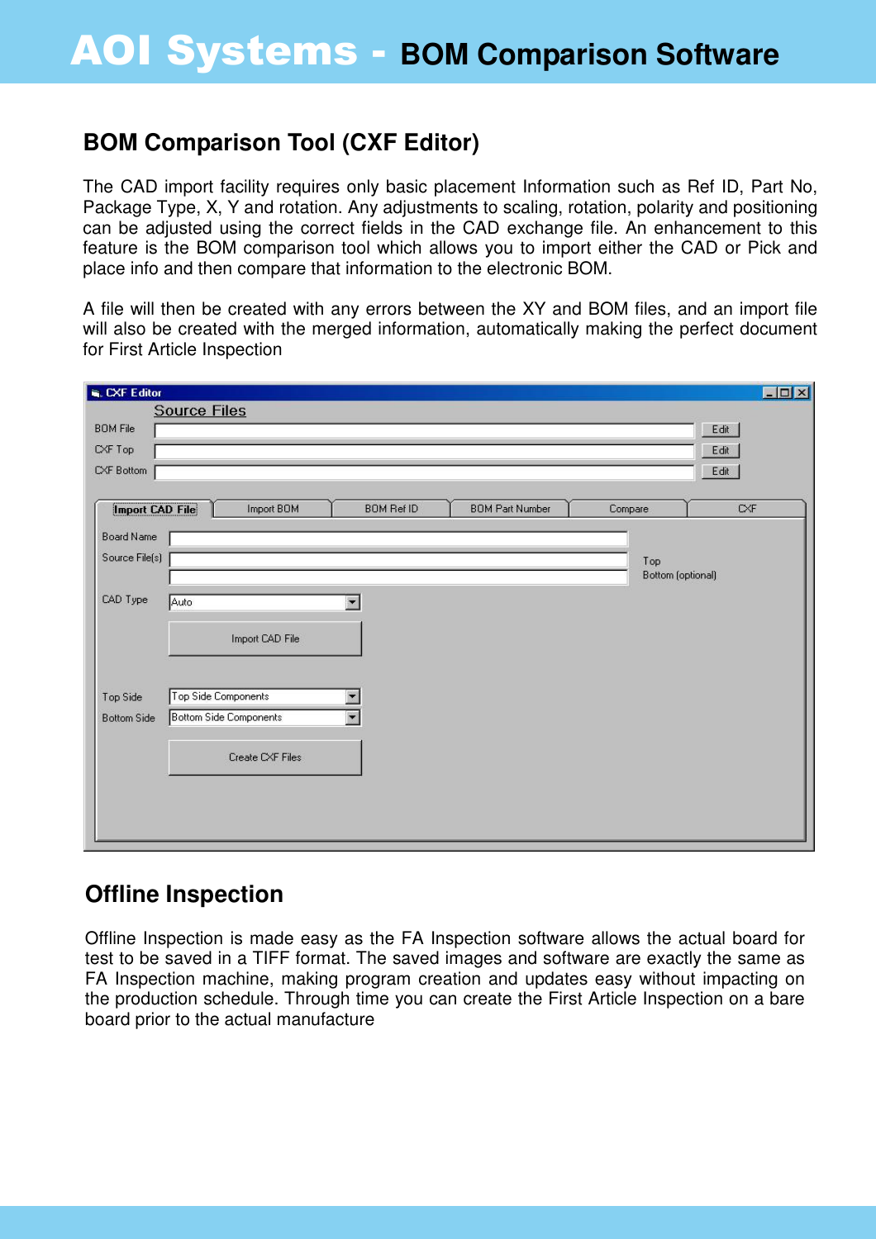#### **BOM Comparison Tool (CXF Editor)**

The CAD import facility requires only basic placement Information such as Ref ID, Part No, Package Type, X, Y and rotation. Any adjustments to scaling, rotation, polarity and positioning can be adjusted using the correct fields in the CAD exchange file. An enhancement to this feature is the BOM comparison tool which allows you to import either the CAD or Pick and place info and then compare that information to the electronic BOM.

A file will then be created with any errors between the XY and BOM files, and an import file will also be created with the merged information, automatically making the perfect document for First Article Inspection

| CXF Editor             |                               |                          |                        |                   | $\Box$ D $\times$ |
|------------------------|-------------------------------|--------------------------|------------------------|-------------------|-------------------|
| <b>BOM File</b>        | <b>Source Files</b>           |                          |                        |                   | Edit              |
| $C\!\!\times\!\!F$ Top |                               |                          |                        |                   | Edit              |
| CXF Bottom             |                               |                          |                        |                   | Edit              |
| <b>Import CAD File</b> | Import BOM                    | <b>BOM Ref ID</b>        | <b>BOM Part Number</b> | Compare.          | CXF               |
| Board Name             |                               |                          |                        |                   |                   |
| Source File(s)         |                               |                          |                        | Top               |                   |
|                        |                               |                          |                        | Bottom (optional) |                   |
| CAD Type               | Auto                          | $\overline{\phantom{0}}$ |                        |                   |                   |
|                        | Import CAD File               |                          |                        |                   |                   |
| Top Side               | Top Side Components           | ▼                        |                        |                   |                   |
| <b>Bottom Side</b>     | <b>Bottom Side Components</b> | $\overline{\phantom{a}}$ |                        |                   |                   |
|                        | Create CXF Files              |                          |                        |                   |                   |
|                        |                               |                          |                        |                   |                   |
|                        |                               |                          |                        |                   |                   |
|                        |                               |                          |                        |                   |                   |

#### **Offline Inspection**

Offline Inspection is made easy as the FA Inspection software allows the actual board for test to be saved in a TIFF format. The saved images and software are exactly the same as FA Inspection machine, making program creation and updates easy without impacting on the production schedule. Through time you can create the First Article Inspection on a bare board prior to the actual manufacture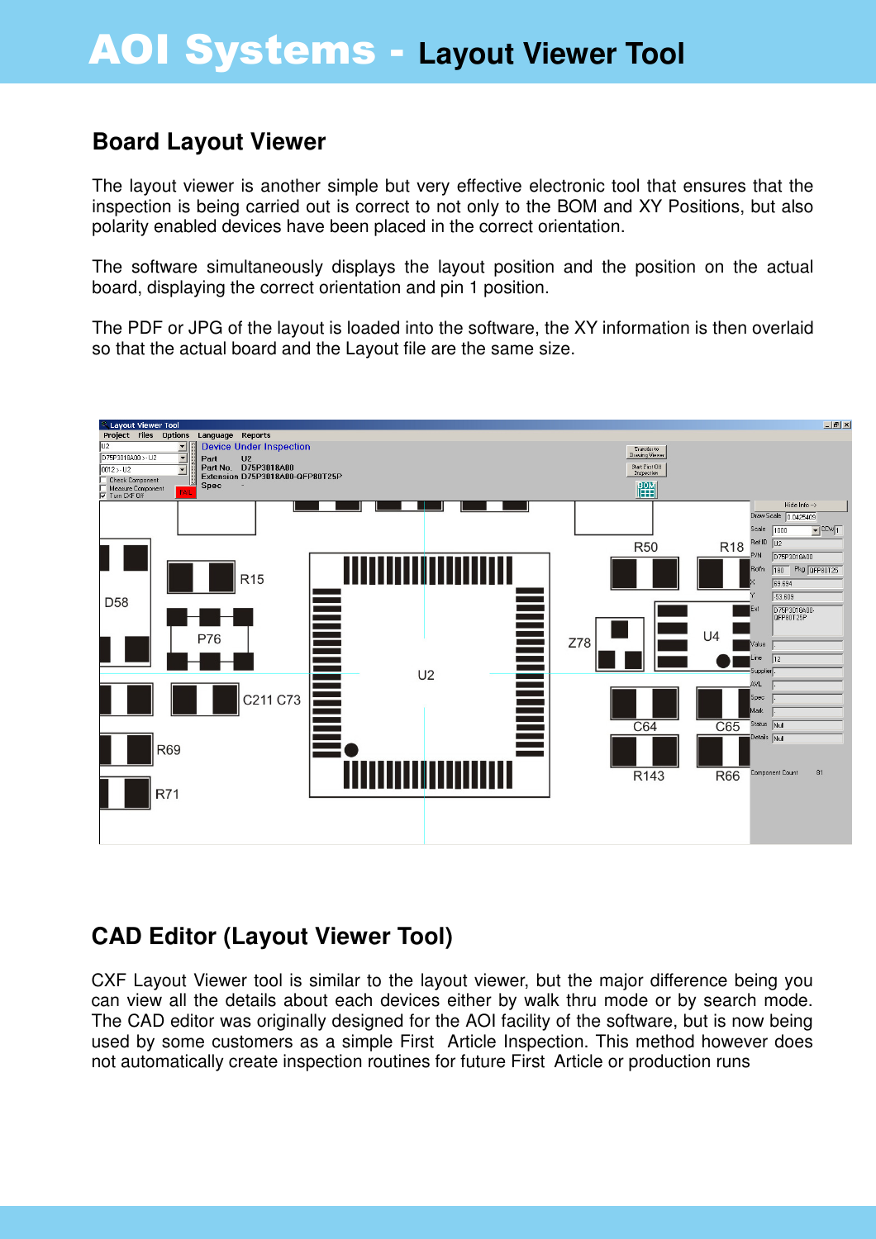#### **Board Layout Viewer**

The layout viewer is another simple but very effective electronic tool that ensures that the inspection is being carried out is correct to not only to the BOM and XY Positions, but also polarity enabled devices have been placed in the correct orientation.

The software simultaneously displays the layout position and the position on the actual board, displaying the correct orientation and pin 1 position.

The PDF or JPG of the layout is loaded into the software, the XY information is then overlaid so that the actual board and the Layout file are the same size.



## **CAD Editor (Layout Viewer Tool)**

CXF Layout Viewer tool is similar to the layout viewer, but the major difference being you can view all the details about each devices either by walk thru mode or by search mode. The CAD editor was originally designed for the AOI facility of the software, but is now being used by some customers as a simple First Article Inspection. This method however does not automatically create inspection routines for future First Article or production runs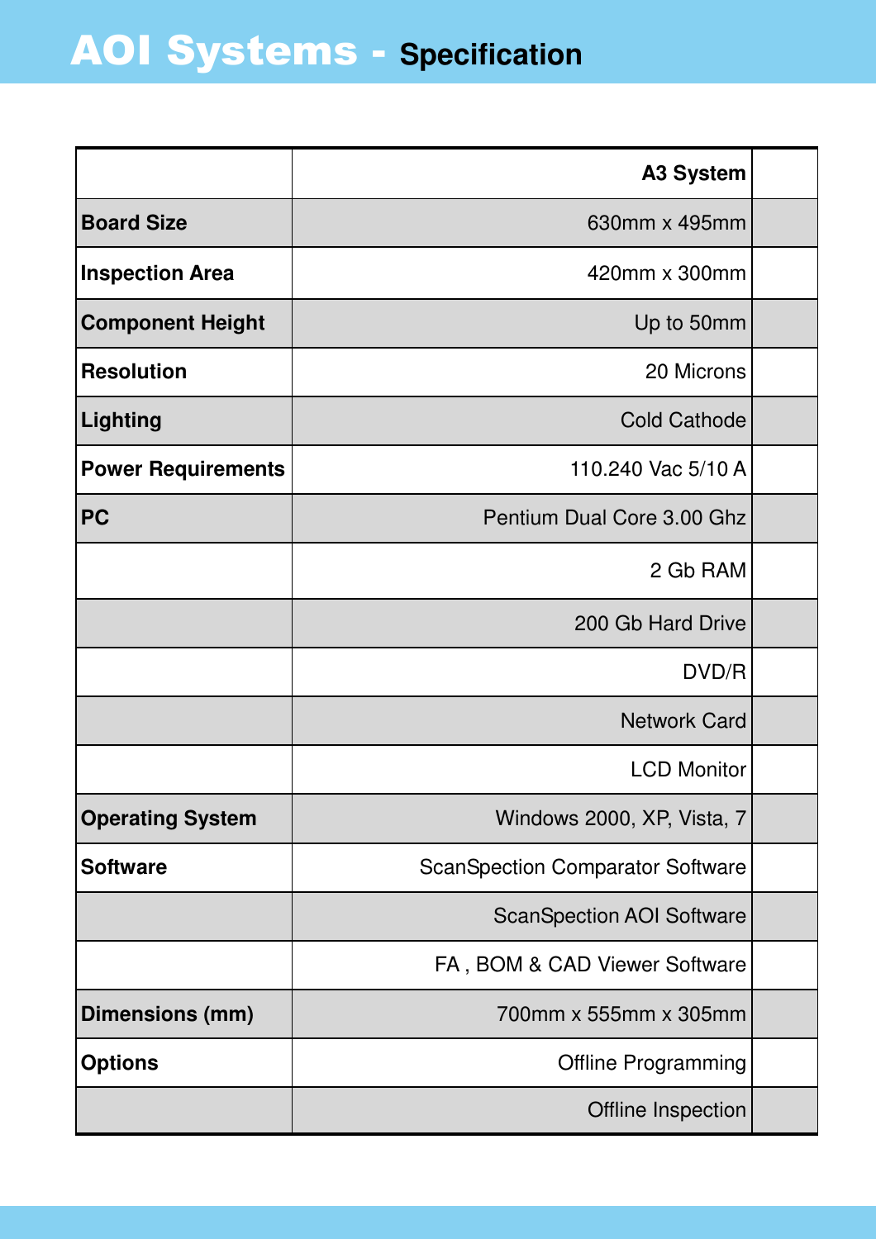|                           | <b>A3 System</b>                        |  |
|---------------------------|-----------------------------------------|--|
| <b>Board Size</b>         | 630mm x 495mm                           |  |
| <b>Inspection Area</b>    | 420mm x 300mm                           |  |
| <b>Component Height</b>   | Up to 50mm                              |  |
| <b>Resolution</b>         | 20 Microns                              |  |
| <b>Lighting</b>           | <b>Cold Cathode</b>                     |  |
| <b>Power Requirements</b> | 110.240 Vac 5/10 A                      |  |
| <b>PC</b>                 | Pentium Dual Core 3.00 Ghz              |  |
|                           | 2 Gb RAM                                |  |
|                           | 200 Gb Hard Drive                       |  |
|                           | DVD/R                                   |  |
|                           | <b>Network Card</b>                     |  |
|                           | <b>LCD Monitor</b>                      |  |
| <b>Operating System</b>   | Windows 2000, XP, Vista, 7              |  |
| <b>Software</b>           | <b>ScanSpection Comparator Software</b> |  |
|                           | <b>ScanSpection AOI Software</b>        |  |
|                           | FA, BOM & CAD Viewer Software           |  |
| Dimensions (mm)           | 700mm x 555mm x 305mm                   |  |
| <b>Options</b>            | <b>Offline Programming</b>              |  |
|                           | Offline Inspection                      |  |